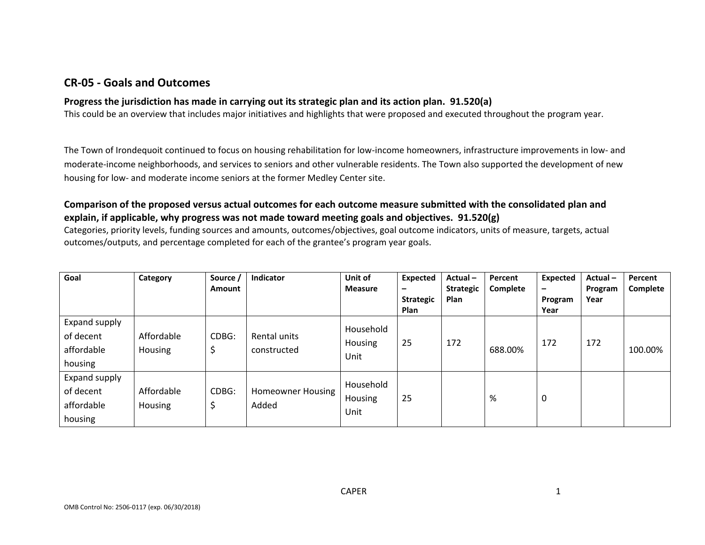# **CR-05 - Goals and Outcomes**

## **Progress the jurisdiction has made in carrying out its strategic plan and its action plan. 91.520(a)**

This could be an overview that includes major initiatives and highlights that were proposed and executed throughout the program year.

The Town of Irondequoit continued to focus on housing rehabilitation for low-income homeowners, infrastructure improvements in low- and moderate-income neighborhoods, and services to seniors and other vulnerable residents. The Town also supported the development of new housing for low- and moderate income seniors at the former Medley Center site.

## **Comparison of the proposed versus actual outcomes for each outcome measure submitted with the consolidated plan and explain, if applicable, why progress was not made toward meeting goals and objectives. 91.520(g)**

Categories, priority levels, funding sources and amounts, outcomes/objectives, goal outcome indicators, units of measure, targets, actual outcomes/outputs, and percentage completed for each of the grantee's program year goals.

| Goal                                                | Category              | Source<br><b>Amount</b> | <b>Indicator</b>            | Unit of<br><b>Measure</b>    | <b>Expected</b><br>-<br><b>Strategic</b><br><b>Plan</b> | Actual-<br><b>Strategic</b><br>Plan | Percent<br>Complete | <b>Expected</b><br>$\overline{\phantom{0}}$<br>Program<br>Year | Actual-<br>Program<br>Year | Percent<br>Complete |
|-----------------------------------------------------|-----------------------|-------------------------|-----------------------------|------------------------------|---------------------------------------------------------|-------------------------------------|---------------------|----------------------------------------------------------------|----------------------------|---------------------|
| Expand supply<br>of decent<br>affordable<br>housing | Affordable<br>Housing | CDBG:<br>د              | Rental units<br>constructed | Household<br>Housing<br>Unit | 25                                                      | 172                                 | 688.00%             | 172                                                            | 172                        | 100.00%             |
| Expand supply<br>of decent<br>affordable<br>housing | Affordable<br>Housing | CDBG:<br>5              | Homeowner Housing<br>Added  | Household<br>Housing<br>Unit | 25                                                      |                                     | %                   | 0                                                              |                            |                     |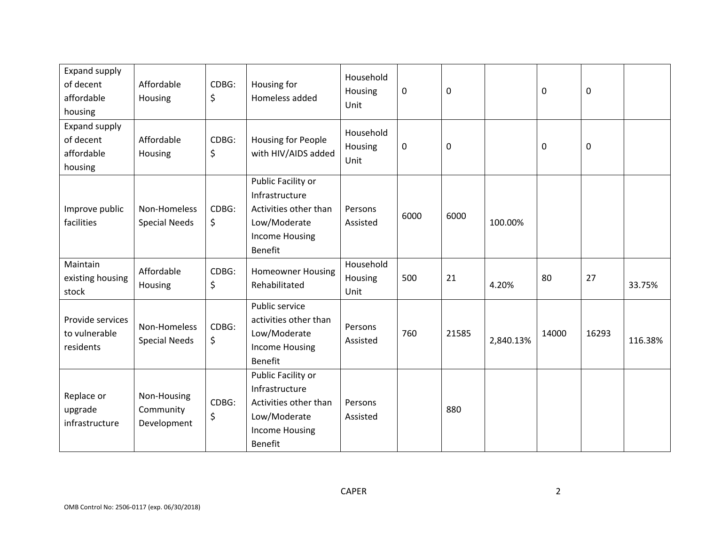| Expand supply<br>of decent<br>affordable<br>housing | Affordable<br>Housing                   | CDBG:<br>\$ | Housing for<br>Homeless added                                                                                            | Household<br>Housing<br>Unit | 0    | 0     |           | $\pmb{0}$ | 0     |         |
|-----------------------------------------------------|-----------------------------------------|-------------|--------------------------------------------------------------------------------------------------------------------------|------------------------------|------|-------|-----------|-----------|-------|---------|
| Expand supply<br>of decent<br>affordable<br>housing | Affordable<br>Housing                   | CDBG:<br>\$ | Housing for People<br>with HIV/AIDS added                                                                                | Household<br>Housing<br>Unit | 0    | 0     |           | 0         | 0     |         |
| Improve public<br>facilities                        | Non-Homeless<br><b>Special Needs</b>    | CDBG:<br>\$ | Public Facility or<br>Infrastructure<br>Activities other than<br>Low/Moderate<br><b>Income Housing</b><br><b>Benefit</b> | Persons<br>Assisted          | 6000 | 6000  | 100.00%   |           |       |         |
| Maintain<br>existing housing<br>stock               | Affordable<br>Housing                   | CDBG:<br>\$ | <b>Homeowner Housing</b><br>Rehabilitated                                                                                | Household<br>Housing<br>Unit | 500  | 21    | 4.20%     | 80        | 27    | 33.75%  |
| Provide services<br>to vulnerable<br>residents      | Non-Homeless<br><b>Special Needs</b>    | CDBG:<br>\$ | Public service<br>activities other than<br>Low/Moderate<br><b>Income Housing</b><br><b>Benefit</b>                       | Persons<br>Assisted          | 760  | 21585 | 2,840.13% | 14000     | 16293 | 116.38% |
| Replace or<br>upgrade<br>infrastructure             | Non-Housing<br>Community<br>Development | CDBG:<br>\$ | Public Facility or<br>Infrastructure<br>Activities other than<br>Low/Moderate<br><b>Income Housing</b><br><b>Benefit</b> | Persons<br>Assisted          |      | 880   |           |           |       |         |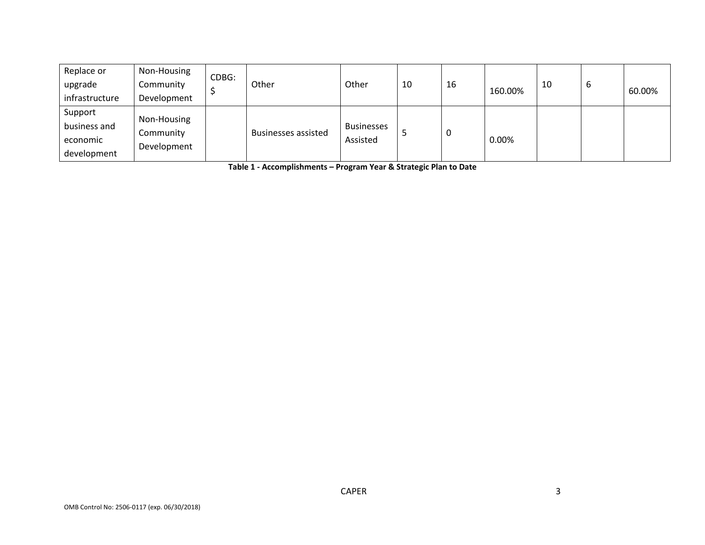| Replace or<br>upgrade<br>infrastructure            | Non-Housing<br>Community<br>Development | CDBG: | Other                      | Other                         | 10 | 16 | 160.00% | 10 | ৩ | 60.00% |
|----------------------------------------------------|-----------------------------------------|-------|----------------------------|-------------------------------|----|----|---------|----|---|--------|
| Support<br>business and<br>economic<br>development | Non-Housing<br>Community<br>Development |       | <b>Businesses assisted</b> | <b>Businesses</b><br>Assisted |    | 0  | 0.00%   |    |   |        |

**Table 1 - Accomplishments – Program Year & Strategic Plan to Date**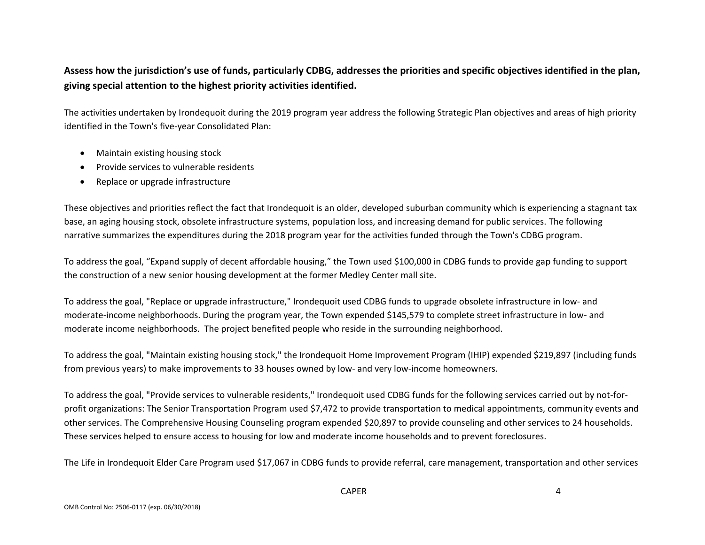## **Assess how the jurisdiction's use of funds, particularly CDBG, addresses the priorities and specific objectives identified in the plan, giving special attention to the highest priority activities identified.**

The activities undertaken by Irondequoit during the 2019 program year address the following Strategic Plan objectives and areas of high priority identified in the Town's five-year Consolidated Plan:

- Maintain existing housing stock
- Provide services to vulnerable residents
- Replace or upgrade infrastructure

These objectives and priorities reflect the fact that Irondequoit is an older, developed suburban community which is experiencing a stagnant tax base, an aging housing stock, obsolete infrastructure systems, population loss, and increasing demand for public services. The following narrative summarizes the expenditures during the 2018 program year for the activities funded through the Town's CDBG program.

To address the goal, "Expand supply of decent affordable housing," the Town used \$100,000 in CDBG funds to provide gap funding to support the construction of a new senior housing development at the former Medley Center mall site.

To address the goal, "Replace or upgrade infrastructure," Irondequoit used CDBG funds to upgrade obsolete infrastructure in low- and moderate-income neighborhoods. During the program year, the Town expended \$145,579 to complete street infrastructure in low- and moderate income neighborhoods. The project benefited people who reside in the surrounding neighborhood.

To address the goal, "Maintain existing housing stock," the Irondequoit Home Improvement Program (IHIP) expended \$219,897 (including funds from previous years) to make improvements to 33 houses owned by low- and very low-income homeowners.

To address the goal, "Provide services to vulnerable residents," Irondequoit used CDBG funds for the following services carried out by not-forprofit organizations: The Senior Transportation Program used \$7,472 to provide transportation to medical appointments, community events and other services. The Comprehensive Housing Counseling program expended \$20,897 to provide counseling and other services to 24 households. These services helped to ensure access to housing for low and moderate income households and to prevent foreclosures.

The Life in Irondequoit Elder Care Program used \$17,067 in CDBG funds to provide referral, care management, transportation and other services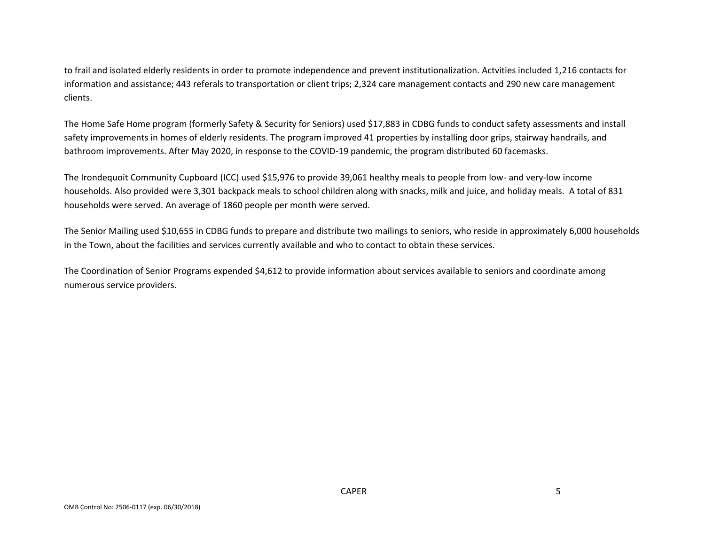to frail and isolated elderly residents in order to promote independence and prevent institutionalization. Actvities included 1,216 contacts for information and assistance; 443 referals to transportation or client trips; 2,324 care management contacts and 290 new care management clients.

The Home Safe Home program (formerly Safety & Security for Seniors) used \$17,883 in CDBG funds to conduct safety assessments and install safety improvements in homes of elderly residents. The program improved 41 properties by installing door grips, stairway handrails, and bathroom improvements. After May 2020, in response to the COVID-19 pandemic, the program distributed 60 facemasks.

The Irondequoit Community Cupboard (ICC) used \$15,976 to provide 39,061 healthy meals to people from low- and very-low income households. Also provided were 3,301 backpack meals to school children along with snacks, milk and juice, and holiday meals. A total of 831 households were served. An average of 1860 people per month were served.

The Senior Mailing used \$10,655 in CDBG funds to prepare and distribute two mailings to seniors, who reside in approximately 6,000 households in the Town, about the facilities and services currently available and who to contact to obtain these services.

The Coordination of Senior Programs expended \$4,612 to provide information about services available to seniors and coordinate among numerous service providers.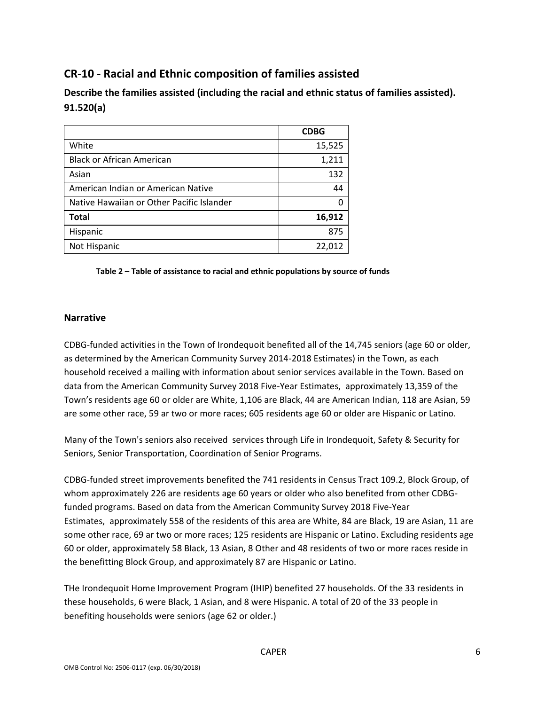# **CR-10 - Racial and Ethnic composition of families assisted**

| Describe the families assisted (including the racial and ethnic status of families assisted). |  |
|-----------------------------------------------------------------------------------------------|--|
| 91.520(a)                                                                                     |  |

|                                           | <b>CDBG</b> |
|-------------------------------------------|-------------|
| White                                     | 15,525      |
| <b>Black or African American</b>          | 1,211       |
| Asian                                     | 132         |
| American Indian or American Native        | 44          |
| Native Hawaiian or Other Pacific Islander | n           |
| <b>Total</b>                              | 16,912      |
| Hispanic                                  | 875         |
| Not Hispanic                              | 22,012      |

#### **Table 2 – Table of assistance to racial and ethnic populations by source of funds**

#### **Narrative**

CDBG-funded activities in the Town of Irondequoit benefited all of the 14,745 seniors (age 60 or older, as determined by the American Community Survey 2014-2018 Estimates) in the Town, as each household received a mailing with information about senior services available in the Town. Based on data from the American Community Survey 2018 Five-Year Estimates, approximately 13,359 of the Town's residents age 60 or older are White, 1,106 are Black, 44 are American Indian, 118 are Asian, 59 are some other race, 59 ar two or more races; 605 residents age 60 or older are Hispanic or Latino.

Many of the Town's seniors also received services through Life in Irondequoit, Safety & Security for Seniors, Senior Transportation, Coordination of Senior Programs.

CDBG-funded street improvements benefited the 741 residents in Census Tract 109.2, Block Group, of whom approximately 226 are residents age 60 years or older who also benefited from other CDBGfunded programs. Based on data from the American Community Survey 2018 Five-Year Estimates, approximately 558 of the residents of this area are White, 84 are Black, 19 are Asian, 11 are some other race, 69 ar two or more races; 125 residents are Hispanic or Latino. Excluding residents age 60 or older, approximately 58 Black, 13 Asian, 8 Other and 48 residents of two or more races reside in the benefitting Block Group, and approximately 87 are Hispanic or Latino.

THe Irondequoit Home Improvement Program (IHIP) benefited 27 households. Of the 33 residents in these households, 6 were Black, 1 Asian, and 8 were Hispanic. A total of 20 of the 33 people in benefiting households were seniors (age 62 or older.)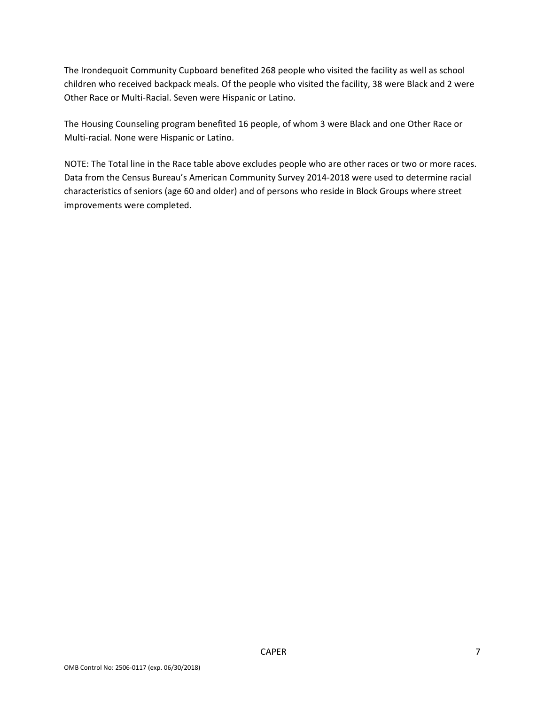The Irondequoit Community Cupboard benefited 268 people who visited the facility as well as school children who received backpack meals. Of the people who visited the facility, 38 were Black and 2 were Other Race or Multi-Racial. Seven were Hispanic or Latino.

The Housing Counseling program benefited 16 people, of whom 3 were Black and one Other Race or Multi-racial. None were Hispanic or Latino.

NOTE: The Total line in the Race table above excludes people who are other races or two or more races. Data from the Census Bureau's American Community Survey 2014-2018 were used to determine racial characteristics of seniors (age 60 and older) and of persons who reside in Block Groups where street improvements were completed.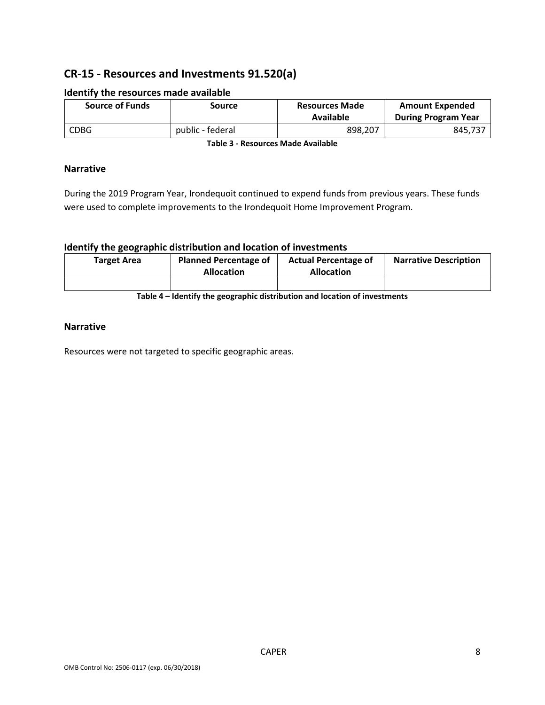# **CR-15 - Resources and Investments 91.520(a)**

| <b>Source of Funds</b> | Source           | <b>Resources Made</b><br>Available | <b>Amount Expended</b><br><b>During Program Year</b> |
|------------------------|------------------|------------------------------------|------------------------------------------------------|
| <b>CDBG</b>            | public - federal | 898.207                            | 845,737                                              |

#### **Identify the resources made available**

**Table 3 - Resources Made Available**

### **Narrative**

During the 2019 Program Year, Irondequoit continued to expend funds from previous years. These funds were used to complete improvements to the Irondequoit Home Improvement Program.

#### **Identify the geographic distribution and location of investments**

| <b>Target Area</b> | <b>Planned Percentage of</b><br><b>Allocation</b> | <b>Actual Percentage of</b><br><b>Allocation</b> | <b>Narrative Description</b> |
|--------------------|---------------------------------------------------|--------------------------------------------------|------------------------------|
|                    |                                                   |                                                  |                              |

**Table 4 – Identify the geographic distribution and location of investments**

#### **Narrative**

Resources were not targeted to specific geographic areas.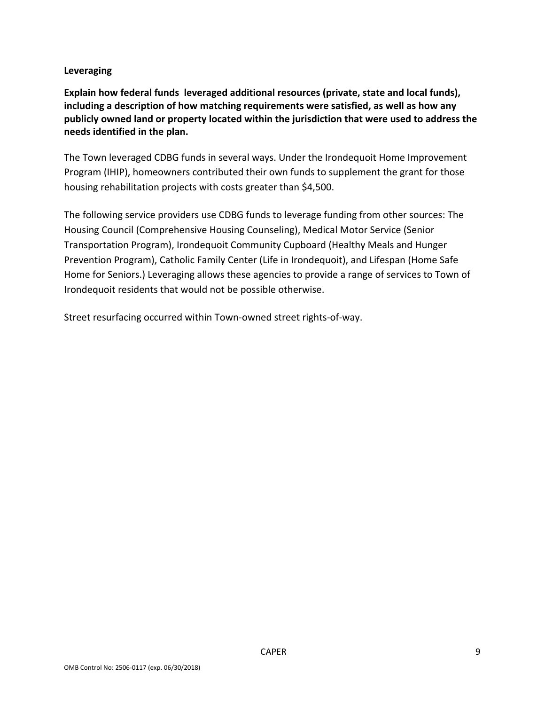## **Leveraging**

**Explain how federal funds leveraged additional resources (private, state and local funds), including a description of how matching requirements were satisfied, as well as how any publicly owned land or property located within the jurisdiction that were used to address the needs identified in the plan.**

The Town leveraged CDBG funds in several ways. Under the Irondequoit Home Improvement Program (IHIP), homeowners contributed their own funds to supplement the grant for those housing rehabilitation projects with costs greater than \$4,500.

The following service providers use CDBG funds to leverage funding from other sources: The Housing Council (Comprehensive Housing Counseling), Medical Motor Service (Senior Transportation Program), Irondequoit Community Cupboard (Healthy Meals and Hunger Prevention Program), Catholic Family Center (Life in Irondequoit), and Lifespan (Home Safe Home for Seniors.) Leveraging allows these agencies to provide a range of services to Town of Irondequoit residents that would not be possible otherwise.

Street resurfacing occurred within Town-owned street rights-of-way.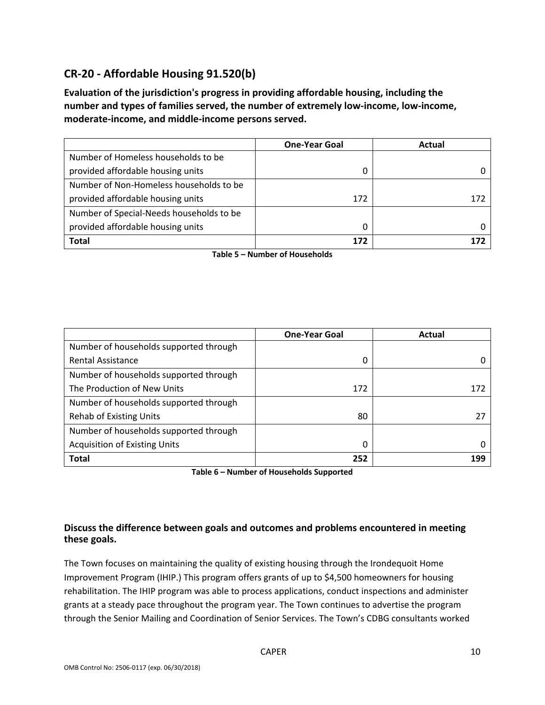# **CR-20 - Affordable Housing 91.520(b)**

**Evaluation of the jurisdiction's progress in providing affordable housing, including the number and types of families served, the number of extremely low-income, low-income, moderate-income, and middle-income persons served.**

|                                          | <b>One-Year Goal</b> | Actual |
|------------------------------------------|----------------------|--------|
| Number of Homeless households to be      |                      |        |
| provided affordable housing units        | 0                    |        |
| Number of Non-Homeless households to be  |                      |        |
| provided affordable housing units        | 172                  | 172    |
| Number of Special-Needs households to be |                      |        |
| provided affordable housing units        | 0                    |        |
| <b>Total</b>                             | 172                  |        |

**Table 5 – Number of Households**

|                                        | <b>One-Year Goal</b> | Actual |
|----------------------------------------|----------------------|--------|
| Number of households supported through |                      |        |
| <b>Rental Assistance</b>               | 0                    |        |
| Number of households supported through |                      |        |
| The Production of New Units            | 172                  | 172    |
| Number of households supported through |                      |        |
| <b>Rehab of Existing Units</b>         | 80                   | 27     |
| Number of households supported through |                      |        |
| <b>Acquisition of Existing Units</b>   | 0                    |        |
| <b>Total</b>                           | 252                  | 199    |

**Table 6 – Number of Households Supported**

## **Discuss the difference between goals and outcomes and problems encountered in meeting these goals.**

The Town focuses on maintaining the quality of existing housing through the Irondequoit Home Improvement Program (IHIP.) This program offers grants of up to \$4,500 homeowners for housing rehabilitation. The IHIP program was able to process applications, conduct inspections and administer grants at a steady pace throughout the program year. The Town continues to advertise the program through the Senior Mailing and Coordination of Senior Services. The Town's CDBG consultants worked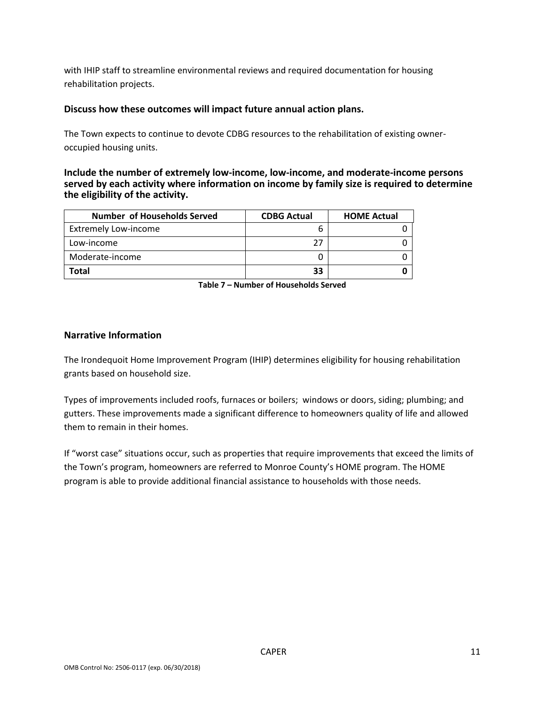with IHIP staff to streamline environmental reviews and required documentation for housing rehabilitation projects.

### **Discuss how these outcomes will impact future annual action plans.**

The Town expects to continue to devote CDBG resources to the rehabilitation of existing owneroccupied housing units.

**Include the number of extremely low-income, low-income, and moderate-income persons served by each activity where information on income by family size is required to determine the eligibility of the activity.**

| <b>Number of Households Served</b> | <b>CDBG Actual</b> | <b>HOME Actual</b> |
|------------------------------------|--------------------|--------------------|
| <b>Extremely Low-income</b>        |                    |                    |
| Low-income                         | 27                 |                    |
| Moderate-income                    |                    |                    |
| Total                              | 33                 |                    |

**Table 7 – Number of Households Served**

### **Narrative Information**

The Irondequoit Home Improvement Program (IHIP) determines eligibility for housing rehabilitation grants based on household size.

Types of improvements included roofs, furnaces or boilers; windows or doors, siding; plumbing; and gutters. These improvements made a significant difference to homeowners quality of life and allowed them to remain in their homes.

If "worst case" situations occur, such as properties that require improvements that exceed the limits of the Town's program, homeowners are referred to Monroe County's HOME program. The HOME program is able to provide additional financial assistance to households with those needs.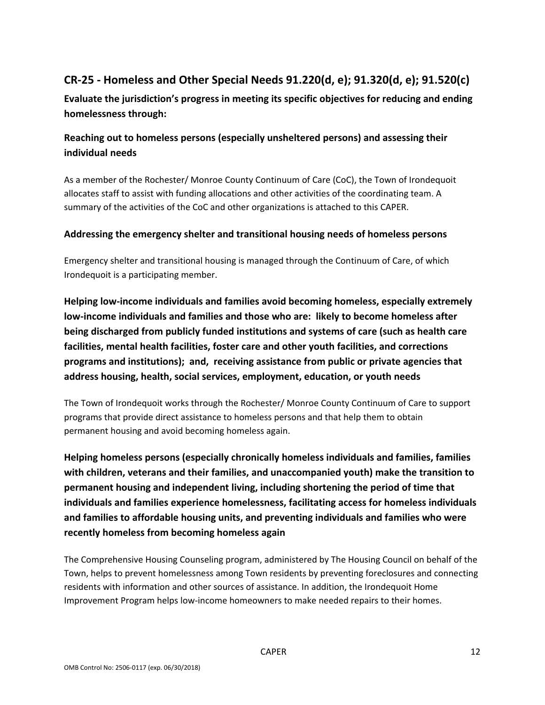# **CR-25 - Homeless and Other Special Needs 91.220(d, e); 91.320(d, e); 91.520(c)**

**Evaluate the jurisdiction's progress in meeting its specific objectives for reducing and ending homelessness through:**

# **Reaching out to homeless persons (especially unsheltered persons) and assessing their individual needs**

As a member of the Rochester/ Monroe County Continuum of Care (CoC), the Town of Irondequoit allocates staff to assist with funding allocations and other activities of the coordinating team. A summary of the activities of the CoC and other organizations is attached to this CAPER.

## **Addressing the emergency shelter and transitional housing needs of homeless persons**

Emergency shelter and transitional housing is managed through the Continuum of Care, of which Irondequoit is a participating member.

**Helping low-income individuals and families avoid becoming homeless, especially extremely low-income individuals and families and those who are: likely to become homeless after being discharged from publicly funded institutions and systems of care (such as health care facilities, mental health facilities, foster care and other youth facilities, and corrections programs and institutions); and, receiving assistance from public or private agencies that address housing, health, social services, employment, education, or youth needs**

The Town of Irondequoit works through the Rochester/ Monroe County Continuum of Care to support programs that provide direct assistance to homeless persons and that help them to obtain permanent housing and avoid becoming homeless again.

**Helping homeless persons (especially chronically homeless individuals and families, families with children, veterans and their families, and unaccompanied youth) make the transition to permanent housing and independent living, including shortening the period of time that individuals and families experience homelessness, facilitating access for homeless individuals and families to affordable housing units, and preventing individuals and families who were recently homeless from becoming homeless again**

The Comprehensive Housing Counseling program, administered by The Housing Council on behalf of the Town, helps to prevent homelessness among Town residents by preventing foreclosures and connecting residents with information and other sources of assistance. In addition, the Irondequoit Home Improvement Program helps low-income homeowners to make needed repairs to their homes.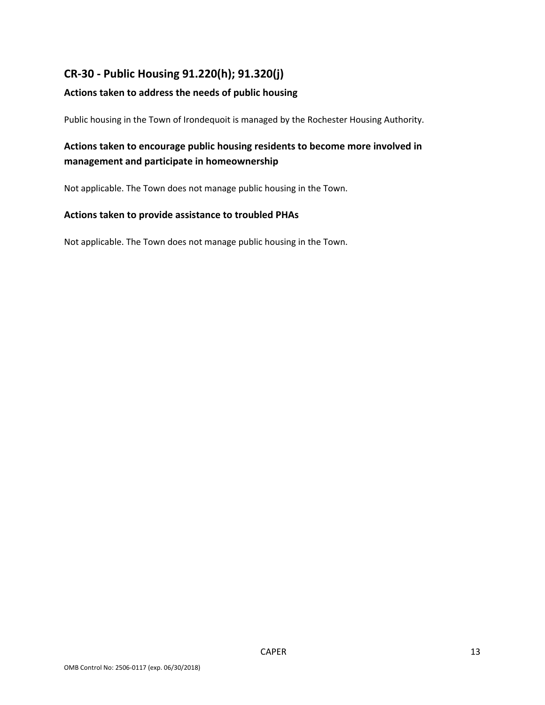# **CR-30 - Public Housing 91.220(h); 91.320(j)**

## **Actions taken to address the needs of public housing**

Public housing in the Town of Irondequoit is managed by the Rochester Housing Authority.

# **Actions taken to encourage public housing residents to become more involved in management and participate in homeownership**

Not applicable. The Town does not manage public housing in the Town.

### **Actions taken to provide assistance to troubled PHAs**

Not applicable. The Town does not manage public housing in the Town.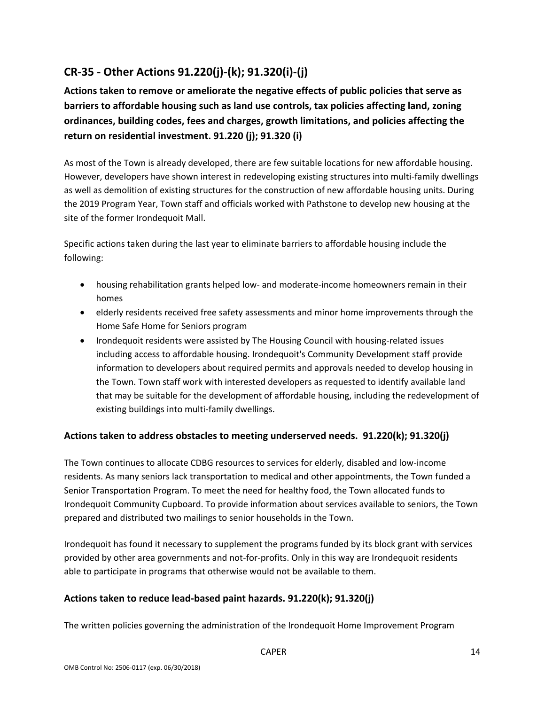# **CR-35 - Other Actions 91.220(j)-(k); 91.320(i)-(j)**

**Actions taken to remove or ameliorate the negative effects of public policies that serve as barriers to affordable housing such as land use controls, tax policies affecting land, zoning ordinances, building codes, fees and charges, growth limitations, and policies affecting the return on residential investment. 91.220 (j); 91.320 (i)**

As most of the Town is already developed, there are few suitable locations for new affordable housing. However, developers have shown interest in redeveloping existing structures into multi-family dwellings as well as demolition of existing structures for the construction of new affordable housing units. During the 2019 Program Year, Town staff and officials worked with Pathstone to develop new housing at the site of the former Irondequoit Mall.

Specific actions taken during the last year to eliminate barriers to affordable housing include the following:

- housing rehabilitation grants helped low- and moderate-income homeowners remain in their homes
- elderly residents received free safety assessments and minor home improvements through the Home Safe Home for Seniors program
- Irondequoit residents were assisted by The Housing Council with housing-related issues including access to affordable housing. Irondequoit's Community Development staff provide information to developers about required permits and approvals needed to develop housing in the Town. Town staff work with interested developers as requested to identify available land that may be suitable for the development of affordable housing, including the redevelopment of existing buildings into multi-family dwellings.

## **Actions taken to address obstacles to meeting underserved needs. 91.220(k); 91.320(j)**

The Town continues to allocate CDBG resources to services for elderly, disabled and low-income residents. As many seniors lack transportation to medical and other appointments, the Town funded a Senior Transportation Program. To meet the need for healthy food, the Town allocated funds to Irondequoit Community Cupboard. To provide information about services available to seniors, the Town prepared and distributed two mailings to senior households in the Town.

Irondequoit has found it necessary to supplement the programs funded by its block grant with services provided by other area governments and not-for-profits. Only in this way are Irondequoit residents able to participate in programs that otherwise would not be available to them.

### **Actions taken to reduce lead-based paint hazards. 91.220(k); 91.320(j)**

The written policies governing the administration of the Irondequoit Home Improvement Program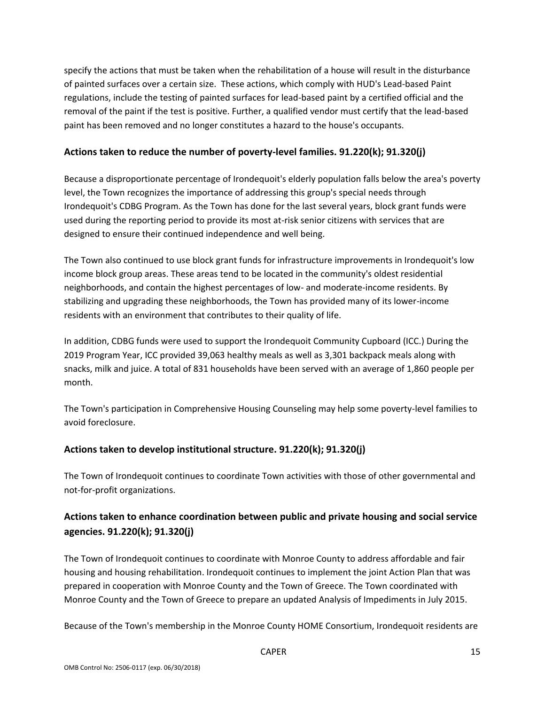specify the actions that must be taken when the rehabilitation of a house will result in the disturbance of painted surfaces over a certain size. These actions, which comply with HUD's Lead-based Paint regulations, include the testing of painted surfaces for lead-based paint by a certified official and the removal of the paint if the test is positive. Further, a qualified vendor must certify that the lead-based paint has been removed and no longer constitutes a hazard to the house's occupants.

## **Actions taken to reduce the number of poverty-level families. 91.220(k); 91.320(j)**

Because a disproportionate percentage of Irondequoit's elderly population falls below the area's poverty level, the Town recognizes the importance of addressing this group's special needs through Irondequoit's CDBG Program. As the Town has done for the last several years, block grant funds were used during the reporting period to provide its most at-risk senior citizens with services that are designed to ensure their continued independence and well being.

The Town also continued to use block grant funds for infrastructure improvements in Irondequoit's low income block group areas. These areas tend to be located in the community's oldest residential neighborhoods, and contain the highest percentages of low- and moderate-income residents. By stabilizing and upgrading these neighborhoods, the Town has provided many of its lower-income residents with an environment that contributes to their quality of life.

In addition, CDBG funds were used to support the Irondequoit Community Cupboard (ICC.) During the 2019 Program Year, ICC provided 39,063 healthy meals as well as 3,301 backpack meals along with snacks, milk and juice. A total of 831 households have been served with an average of 1,860 people per month.

The Town's participation in Comprehensive Housing Counseling may help some poverty-level families to avoid foreclosure.

## **Actions taken to develop institutional structure. 91.220(k); 91.320(j)**

The Town of Irondequoit continues to coordinate Town activities with those of other governmental and not-for-profit organizations.

# **Actions taken to enhance coordination between public and private housing and social service agencies. 91.220(k); 91.320(j)**

The Town of Irondequoit continues to coordinate with Monroe County to address affordable and fair housing and housing rehabilitation. Irondequoit continues to implement the joint Action Plan that was prepared in cooperation with Monroe County and the Town of Greece. The Town coordinated with Monroe County and the Town of Greece to prepare an updated Analysis of Impediments in July 2015.

Because of the Town's membership in the Monroe County HOME Consortium, Irondequoit residents are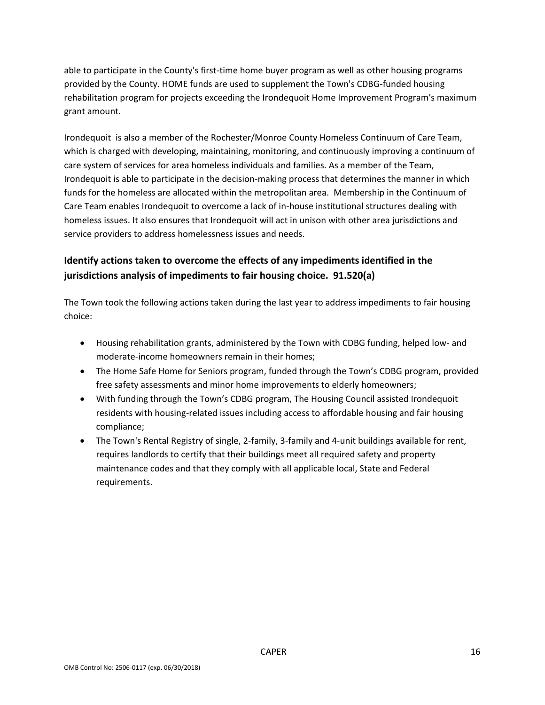able to participate in the County's first-time home buyer program as well as other housing programs provided by the County. HOME funds are used to supplement the Town's CDBG-funded housing rehabilitation program for projects exceeding the Irondequoit Home Improvement Program's maximum grant amount.

Irondequoit is also a member of the Rochester/Monroe County Homeless Continuum of Care Team, which is charged with developing, maintaining, monitoring, and continuously improving a continuum of care system of services for area homeless individuals and families. As a member of the Team, Irondequoit is able to participate in the decision-making process that determines the manner in which funds for the homeless are allocated within the metropolitan area. Membership in the Continuum of Care Team enables Irondequoit to overcome a lack of in-house institutional structures dealing with homeless issues. It also ensures that Irondequoit will act in unison with other area jurisdictions and service providers to address homelessness issues and needs.

# **Identify actions taken to overcome the effects of any impediments identified in the jurisdictions analysis of impediments to fair housing choice. 91.520(a)**

The Town took the following actions taken during the last year to address impediments to fair housing choice:

- Housing rehabilitation grants, administered by the Town with CDBG funding, helped low- and moderate-income homeowners remain in their homes;
- The Home Safe Home for Seniors program, funded through the Town's CDBG program, provided free safety assessments and minor home improvements to elderly homeowners;
- With funding through the Town's CDBG program, The Housing Council assisted Irondequoit residents with housing-related issues including access to affordable housing and fair housing compliance;
- The Town's Rental Registry of single, 2-family, 3-family and 4-unit buildings available for rent, requires landlords to certify that their buildings meet all required safety and property maintenance codes and that they comply with all applicable local, State and Federal requirements.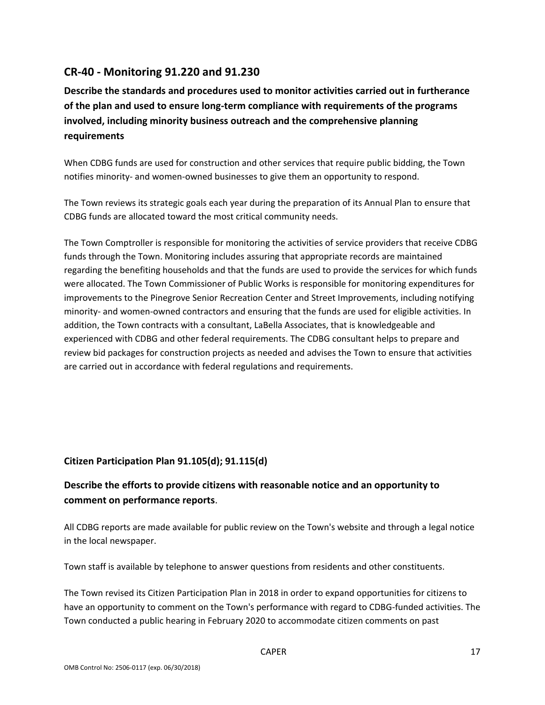# **CR-40 - Monitoring 91.220 and 91.230**

**Describe the standards and procedures used to monitor activities carried out in furtherance of the plan and used to ensure long-term compliance with requirements of the programs involved, including minority business outreach and the comprehensive planning requirements**

When CDBG funds are used for construction and other services that require public bidding, the Town notifies minority- and women-owned businesses to give them an opportunity to respond.

The Town reviews its strategic goals each year during the preparation of its Annual Plan to ensure that CDBG funds are allocated toward the most critical community needs.

The Town Comptroller is responsible for monitoring the activities of service providers that receive CDBG funds through the Town. Monitoring includes assuring that appropriate records are maintained regarding the benefiting households and that the funds are used to provide the services for which funds were allocated. The Town Commissioner of Public Works is responsible for monitoring expenditures for improvements to the Pinegrove Senior Recreation Center and Street Improvements, including notifying minority- and women-owned contractors and ensuring that the funds are used for eligible activities. In addition, the Town contracts with a consultant, LaBella Associates, that is knowledgeable and experienced with CDBG and other federal requirements. The CDBG consultant helps to prepare and review bid packages for construction projects as needed and advises the Town to ensure that activities are carried out in accordance with federal regulations and requirements.

## **Citizen Participation Plan 91.105(d); 91.115(d)**

## **Describe the efforts to provide citizens with reasonable notice and an opportunity to comment on performance reports**.

All CDBG reports are made available for public review on the Town's website and through a legal notice in the local newspaper.

Town staff is available by telephone to answer questions from residents and other constituents.

The Town revised its Citizen Participation Plan in 2018 in order to expand opportunities for citizens to have an opportunity to comment on the Town's performance with regard to CDBG-funded activities. The Town conducted a public hearing in February 2020 to accommodate citizen comments on past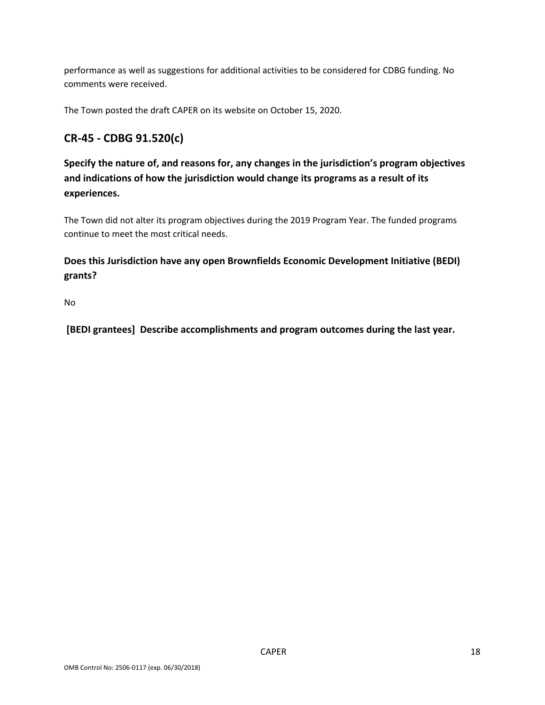performance as well as suggestions for additional activities to be considered for CDBG funding. No comments were received.

The Town posted the draft CAPER on its website on October 15, 2020.

# **CR-45 - CDBG 91.520(c)**

**Specify the nature of, and reasons for, any changes in the jurisdiction's program objectives and indications of how the jurisdiction would change its programs as a result of its experiences.**

The Town did not alter its program objectives during the 2019 Program Year. The funded programs continue to meet the most critical needs.

# **Does this Jurisdiction have any open Brownfields Economic Development Initiative (BEDI) grants?**

No

**[BEDI grantees] Describe accomplishments and program outcomes during the last year.**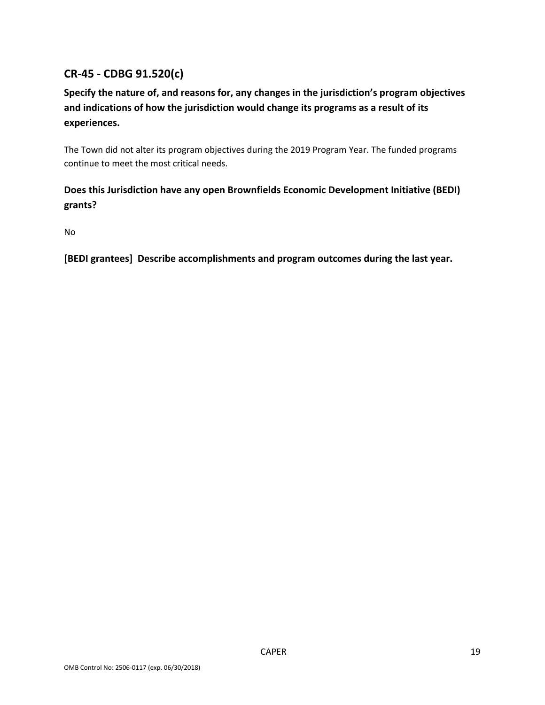# **CR-45 - CDBG 91.520(c)**

# **Specify the nature of, and reasons for, any changes in the jurisdiction's program objectives and indications of how the jurisdiction would change its programs as a result of its experiences.**

The Town did not alter its program objectives during the 2019 Program Year. The funded programs continue to meet the most critical needs.

## **Does this Jurisdiction have any open Brownfields Economic Development Initiative (BEDI) grants?**

No

**[BEDI grantees] Describe accomplishments and program outcomes during the last year.**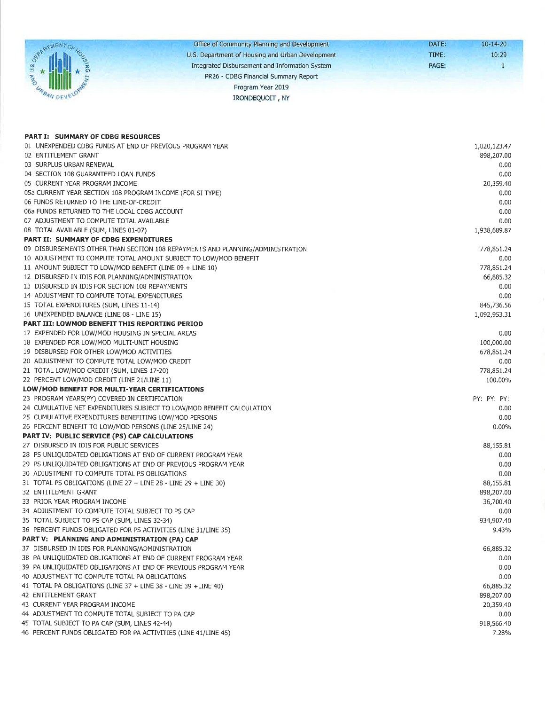|     | Office of Community Planning and Development     | DATE: | $10 - 14 - 20$ |
|-----|--------------------------------------------------|-------|----------------|
|     | U.S. Department of Housing and Urban Development | TIME: | 10:29          |
|     | Integrated Disbursement and Information System   | PAGE: |                |
|     | PR26 - CDBG Financial Summary Report             |       |                |
| Yo. | Program Year 2019                                |       |                |
|     | <b>IRONDEOUOIT, NY</b>                           |       |                |

| <b>PART I: SUMMARY OF CDBG RESOURCES</b>                                       |              |
|--------------------------------------------------------------------------------|--------------|
| 01 UNEXPENDED CDBG FUNDS AT END OF PREVIOUS PROGRAM YEAR                       | 1,020,123.47 |
| 02 ENTITLEMENT GRANT                                                           | 898,207.00   |
| 03 SURPLUS URBAN RENEWAL                                                       | 0.00         |
| 04 SECTION 108 GUARANTEED LOAN FUNDS                                           | 0.00         |
| 05 CURRENT YEAR PROGRAM INCOME                                                 | 20,359.40    |
| 05a CURRENT YEAR SECTION 108 PROGRAM INCOME (FOR SI TYPE)                      | 0.00         |
| 06 FUNDS RETURNED TO THE LINE-OF-CREDIT                                        | 0.00         |
| 06a FUNDS RETURNED TO THE LOCAL CDBG ACCOUNT                                   | 0.00         |
| 07 ADJUSTMENT TO COMPUTE TOTAL AVAILABLE                                       | 0.00         |
| 08 TOTAL AVAILABLE (SUM, LINES 01-07)                                          | 1,938,689.87 |
| <b>PART II: SUMMARY OF CDBG EXPENDITURES</b>                                   |              |
| 09 DISBURSEMENTS OTHER THAN SECTION 108 REPAYMENTS AND PLANNING/ADMINISTRATION | 778,851.24   |
| 10 ADJUSTMENT TO COMPUTE TOTAL AMOUNT SUBJECT TO LOW/MOD BENEFIT               | 0.00         |
| 11 AMOUNT SUBJECT TO LOW/MOD BENEFIT (LINE 09 + LINE 10)                       | 778,851.24   |
| 12 DISBURSED IN IDIS FOR PLANNING/ADMINISTRATION                               | 66,885.32    |
| 13 DISBURSED IN IDIS FOR SECTION 108 REPAYMENTS                                | 0.00         |
| 14 ADJUSTMENT TO COMPUTE TOTAL EXPENDITURES                                    | 0.00         |
| 15 TOTAL EXPENDITURES (SUM, LINES 11-14)                                       | 845,736.56   |
| 16 UNEXPENDED BALANCE (LINE 08 - LINE 15)                                      | 1,092,953.31 |
| PART III: LOWMOD BENEFIT THIS REPORTING PERIOD                                 |              |
| 17 EXPENDED FOR LOW/MOD HOUSING IN SPECIAL AREAS                               | 0.00         |
| 18 EXPENDED FOR LOW/MOD MULTI-UNIT HOUSING                                     | 100,000.00   |
| 19 DISBURSED FOR OTHER LOW/MOD ACTIVITIES                                      | 678,851.24   |
| 20 ADJUSTMENT TO COMPUTE TOTAL LOW/MOD CREDIT                                  | 0.00         |
| 21 TOTAL LOW/MOD CREDIT (SUM, LINES 17-20)                                     | 778,851.24   |
| 22 PERCENT LOW/MOD CREDIT (LINE 21/LINE 11)                                    | 100.00%      |
| LOW/MOD BENEFIT FOR MULTI-YEAR CERTIFICATIONS                                  |              |
| 23 PROGRAM YEARS(PY) COVERED IN CERTIFICATION                                  | PY: PY: PY:  |
| 24 CUMULATIVE NET EXPENDITURES SUBJECT TO LOW/MOD BENEFIT CALCULATION          | 0.00         |
| 25 CUMULATIVE EXPENDITURES BENEFITING LOW/MOD PERSONS                          | 0.00         |
| 26 PERCENT BENEFIT TO LOW/MOD PERSONS (LINE 25/LINE 24)                        | 0.00%        |
| <b>PART IV: PUBLIC SERVICE (PS) CAP CALCULATIONS</b>                           |              |
| 27 DISBURSED IN IDIS FOR PUBLIC SERVICES                                       | 88,155.81    |
| 28 PS UNLIQUIDATED OBLIGATIONS AT END OF CURRENT PROGRAM YEAR                  | 0.00         |
| 29 PS UNLIQUIDATED OBLIGATIONS AT END OF PREVIOUS PROGRAM YEAR                 | 0.00         |
| 30 ADJUSTMENT TO COMPUTE TOTAL PS OBLIGATIONS                                  | 0.00         |
| 31 TOTAL PS OBLIGATIONS (LINE 27 + LINE 28 - LINE 29 + LINE 30)                | 88,155.81    |
| 32 ENTITLEMENT GRANT                                                           | 898,207.00   |
| 33 PRIOR YEAR PROGRAM INCOME                                                   | 36,700.40    |
| 34 ADJUSTMENT TO COMPUTE TOTAL SUBJECT TO PS CAP                               | 0.00         |
| 35 TOTAL SUBJECT TO PS CAP (SUM, LINES 32-34)                                  | 934,907.40   |
| 36 PERCENT FUNDS OBLIGATED FOR PS ACTIVITIES (LINE 31/LINE 35)                 | 9.43%        |
| PART V: PLANNING AND ADMINISTRATION (PA) CAP                                   |              |
| 37 DISBURSED IN IDIS FOR PLANNING/ADMINISTRATION                               | 66,885.32    |
| 38 PA UNLIQUIDATED OBLIGATIONS AT END OF CURRENT PROGRAM YEAR                  | 0.00         |
| 39 PA UNLIQUIDATED OBLIGATIONS AT END OF PREVIOUS PROGRAM YEAR                 | 0.00         |
| 40 ADJUSTMENT TO COMPUTE TOTAL PA OBLIGATIONS                                  | 0.00         |
| 41 TOTAL PA OBLIGATIONS (LINE 37 + LINE 38 - LINE 39 + LINE 40)                | 66,885.32    |
| 42 ENTITLEMENT GRANT                                                           | 898,207.00   |
| 43 CURRENT YEAR PROGRAM INCOME                                                 | 20,359.40    |
| 44 ADJUSTMENT TO COMPUTE TOTAL SUBJECT TO PA CAP                               | 0.00         |
| 45 TOTAL SUBJECT TO PA CAP (SUM, LINES 42-44)                                  | 918,566.40   |
| 46 PERCENT FUNDS OBLIGATED FOR PA ACTIVITIES (LINE 41/LINE 45)                 | 7.28%        |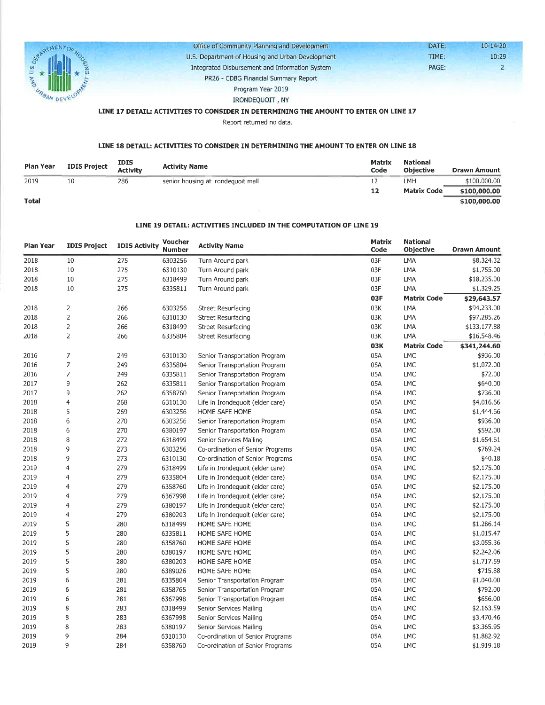

Office of Community Planning and Development U.S. Department of Housing and Urban Development Integrated Disbursement and Information System PR26 - CDBG Financial Summary Report Program Year 2019

TIME: PAGE:

DATE:

 $10 - 14 - 20$ 10:29  $\overline{2}$ 

IRONDEQUOIT, NY

#### LINE 17 DETAIL: ACTIVITIES TO CONSIDER IN DETERMINING THE AMOUNT TO ENTER ON LINE 17

Report returned no data.

#### LINE 18 DETAIL: ACTIVITIES TO CONSIDER IN DETERMINING THE AMOUNT TO ENTER ON LINE 18

| Plan Year    | <b>IDIS Project</b> | <b>IDIS</b><br><b>Activity</b> | <b>Activity Name</b>               | <b>Matrix</b><br>Code | <b>National</b><br><b>Objective</b> | <b>Drawn Amount</b> |
|--------------|---------------------|--------------------------------|------------------------------------|-----------------------|-------------------------------------|---------------------|
| 2019         | 10                  | 286                            | senior housing at irondequoit mall |                       | LMH                                 | \$100,000.00        |
|              |                     |                                |                                    | 12                    | <b>Matrix Code</b>                  | \$100,000,00        |
| <b>Total</b> |                     |                                |                                    |                       |                                     | \$100,000.00        |

#### LINE 19 DETAIL: ACTIVITIES INCLUDED IN THE COMPUTATION OF LINE 19

| Plan Year | <b>IDIS Project</b>      | <b>IDIS Activity</b> | Voucher<br><b>Number</b> | <b>Activity Name</b>             | <b>Matrix</b><br>Code | <b>National</b><br><b>Objective</b> | <b>Drawn Amount</b> |
|-----------|--------------------------|----------------------|--------------------------|----------------------------------|-----------------------|-------------------------------------|---------------------|
| 2018      | 10                       | 275                  | 6303256                  | Turn Around park                 | 03F                   | LMA                                 | \$8,324.32          |
| 2018      | 10                       | 275                  | 6310130                  | Turn Around park                 | 03F                   | LMA                                 | \$1,755.00          |
| 2018      | $10\,$                   | 275                  | 6318499                  | Turn Around park                 | 03F                   | <b>LMA</b>                          | \$18,235.00         |
| 2018      | 10                       | 275                  | 6335811                  | Turn Around park                 | 03F                   | LMA                                 | \$1,329.25          |
|           |                          |                      |                          |                                  | 03F                   | <b>Matrix Code</b>                  | \$29,643.57         |
| 2018      | $\mathbf{2}$             | 266                  | 6303256                  | <b>Street Resurfacing</b>        | 03K                   | LMA                                 | \$94,233.00         |
| 2018      | $\mathbf{2}$             | 266                  | 6310130                  | Street Resurfacing               | 03K                   | LMA                                 | \$97,285.26         |
| 2018      | $\mathbf{2}$             | 266                  | 6318499                  | <b>Street Resurfacing</b>        | 03K                   | LMA                                 | \$133,177.88        |
| 2018      | $\overline{2}$           | 266                  | 6335804                  | Street Resurfacing               | 03K                   | LMA                                 | \$16,548.46         |
|           |                          |                      |                          |                                  | <b>03K</b>            | <b>Matrix Code</b>                  | \$341,244.60        |
| 2016      | 7                        | 249                  | 6310130                  | Senior Transportation Program    | 05A                   | <b>LMC</b>                          | \$936.00            |
| 2016      | $\overline{7}$           | 249                  | 6335804                  | Senior Transportation Program    | 05A                   | <b>LMC</b>                          | \$1,072.00          |
| 2016      | 7                        | 249                  | 6335811                  | Senior Transportation Program    | 05A                   | <b>LMC</b>                          | \$72.00             |
| 2017      | 9                        | 262                  | 6335811                  | Senior Transportation Program    | 05A                   | LMC                                 | \$640.00            |
| 2017      | 9                        | 262                  | 6358760                  | Senior Transportation Program    | 05A                   | LMC                                 | \$736.00            |
| 2018      | $\overline{\mathcal{L}}$ | 268                  | 6310130                  | Life in Irondequoit (elder care) | 05A                   | <b>LMC</b>                          | \$4,016.66          |
| 2018      | 5                        | 269                  | 6303256                  | HOME SAFE HOME                   | 05A                   | <b>LMC</b>                          | \$1,444.66          |
| 2018      | 6                        | 270                  | 6303256                  | Senior Transportation Program    | 05A                   | LMC                                 | \$936.00            |
| 2018      | 6                        | 270                  | 6380197                  | Senior Transportation Program    | 05A                   | LMC                                 | \$592.00            |
| 2018      | 8                        | 272                  | 6318499                  | Senior Services Mailing          | 05A                   | <b>LMC</b>                          | \$1,654.61          |
| 2018      | 9                        | 273                  | 6303256                  | Co-ordination of Senior Programs | 05A                   | LMC                                 | \$769.24            |
| 2018      | 9                        | 273                  | 6310130                  | Co-ordination of Senior Programs | 05A                   | LMC                                 | \$40.18             |
| 2019      | $\overline{4}$           | 279                  | 6318499                  | Life in Irondequoit (elder care) | 05A                   | LMC                                 | \$2,175.00          |
| 2019      | 4                        | 279                  | 6335804                  | Life in Irondequoit (elder care) | 05A                   | LMC                                 | \$2,175.00          |
| 2019      | 4                        | 279                  | 6358760                  | Life in Irondequoit (elder care) | 05A                   | LMC                                 | \$2,175.00          |
| 2019      | 4                        | 279                  | 6367998                  | Life in Irondequoit (elder care) | 05A                   | LMC                                 | \$2,175.00          |
| 2019      | 4                        | 279                  | 6380197                  | Life in Irondequoit (elder care) | 05A                   | LMC                                 | \$2,175.00          |
| 2019      | $\overline{4}$           | 279                  | 6380203                  | Life in Irondequoit (elder care) | 05A                   | LMC                                 | \$2,175.00          |
| 2019      | 5                        | 280                  | 6318499                  | HOME SAFE HOME                   | 05A                   | LMC                                 | \$1,286.14          |
| 2019      | 5                        | 280                  | 6335811                  | HOME SAFE HOME                   | 05A                   | <b>LMC</b>                          | \$1,015.47          |
| 2019      | 5                        | 280                  | 6358760                  | HOME SAFE HOME                   | 05A                   | LMC                                 | \$3,055.36          |
| 2019      | 5                        | 280                  | 6380197                  | HOME SAFE HOME                   | 05A                   | <b>LMC</b>                          | \$2,242.06          |
| 2019      | 5                        | 280                  | 6380203                  | HOME SAFE HOME                   | 05A                   | <b>LMC</b>                          | \$1,717.59          |
| 2019      | 5                        | 280                  | 6389026                  | HOME SAFE HOME                   | 05A                   | <b>LMC</b>                          | \$715.88            |
| 2019      | 6                        | 281                  | 6335804                  | Senior Transportation Program    | 05A                   | LMC                                 | \$1,040.00          |
| 2019      | 6                        | 281                  | 6358765                  | Senior Transportation Program    | 05A                   | LMC                                 | \$792.00            |
| 2019      | 6                        | 281                  | 6367998                  | Senior Transportation Program    | 05A                   | LMC                                 | \$656.00            |
| 2019      | 8                        | 283                  | 6318499                  | Senior Services Mailing          | 05A                   | <b>LMC</b>                          | \$2,163.59          |
| 2019      | 8                        | 283                  | 6367998                  | Senior Services Mailing          | 05A                   | LMC                                 | \$3,470.46          |
| 2019      | 8                        | 283                  | 6380197                  | Senior Services Mailing          | 05A                   | <b>LMC</b>                          | \$3,365.95          |
| 2019      | 9                        | 284                  | 6310130                  | Co-ordination of Senior Programs | 05A                   | LMC                                 | \$1,882.92          |
| 2019      | 9                        | 284                  | 6358760                  | Co-ordination of Senior Programs | 05A                   | <b>LMC</b>                          | \$1,919.18          |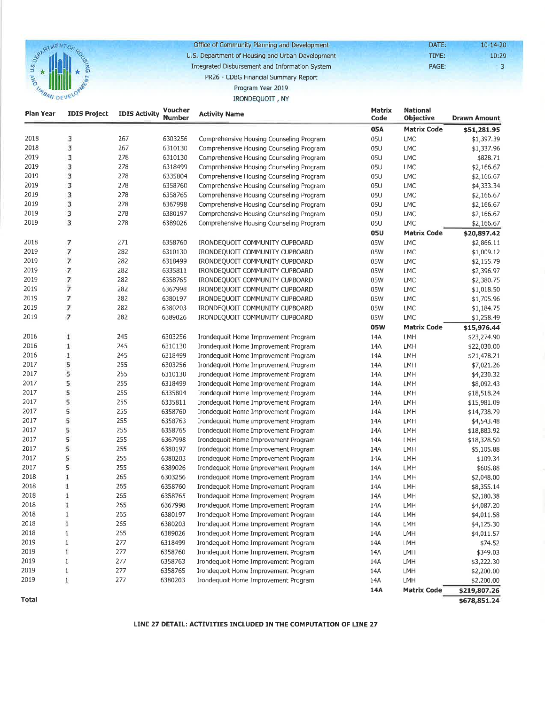

Office of Community Planning and Development U.S. Department of Housing and Urban Development Integrated Disbursement and Information System

DATE:  $10 - 14 - 20$ TIME:  $10:29$ PAGE:

 $\overline{3}$ 

#### PR26 - CDBG Financial Summary Report Program Year 2019

## IRONDEQUOIT, NY

| Plan Year | <b>IDIS Project</b>      | <b>IDIS Activity</b> | Voucher<br><b>Number</b> | <b>Activity Name</b>                                                         | Matrix<br>Code | <b>National</b><br>Objective | <b>Drawn Amount</b>   |
|-----------|--------------------------|----------------------|--------------------------|------------------------------------------------------------------------------|----------------|------------------------------|-----------------------|
|           |                          |                      |                          |                                                                              | 05A            | <b>Matrix Code</b>           | \$51,281.95           |
| 2018      | 3                        | 267                  | 6303256                  | Comprehensive Housing Counseling Program                                     | 05U            | <b>LMC</b>                   | \$1,397.39            |
| 2018      | 3                        | 267                  | 6310130                  | Comprehensive Housing Counseling Program                                     | 05U            | <b>LMC</b>                   | \$1,337.96            |
| 2019      | 3                        | 278                  | 6310130                  | Comprehensive Housing Counseling Program                                     | 05U            | <b>LMC</b>                   | \$828.71              |
| 2019      | 3                        | 278                  | 6318499                  | Comprehensive Housing Counseling Program                                     | 05U            | <b>LMC</b>                   | \$2,166.67            |
| 2019      | 3                        | 278                  | 6335804                  | Comprehensive Housing Counseling Program                                     | 05U            | <b>LMC</b>                   | \$2,166.67            |
| 2019      | 3                        | 278                  | 6358760                  | Comprehensive Housing Counseling Program                                     | 05U            | <b>LMC</b>                   | \$4,333.34            |
| 2019      | 3                        | 278                  | 6358765                  | Comprehensive Housing Counseling Program                                     | 05U            | <b>LMC</b>                   | \$2,166.67            |
| 2019      | 3                        | 278                  | 6367998                  | Comprehensive Housing Counseling Program                                     | 05U            | LMC                          | \$2,166.67            |
| 2019      | 3                        | 278                  | 6380197                  | Comprehensive Housing Counseling Program                                     | 05U            | <b>LMC</b>                   | \$2,166.67            |
| 2019      | 3                        | 278                  | 6389026                  | Comprehensive Housing Counseling Program                                     | 05U            | <b>LMC</b>                   | \$2,166.67            |
|           |                          |                      |                          |                                                                              | <b>05U</b>     | <b>Matrix Code</b>           | \$20,897.42           |
| 2018      | 7                        | 271                  | 6358760                  | IRONDEQUOIT COMMUNITY CUPBOARD                                               | 05W            | LMC                          | \$2,866.11            |
| 2019      | $\overline{\phantom{a}}$ | 282                  | 6310130                  | IRONDEQUOIT COMMUNITY CUPBOARD                                               | 05W            | LMC                          | \$1,009.12            |
| 2019      | $\overline{\phantom{a}}$ | 282                  | 6318499                  | IRONDEQUOIT COMMUNITY CUPBOARD                                               | 05W            | <b>LMC</b>                   | \$2,155.79            |
| 2019      | $\overline{\phantom{a}}$ | 282                  | 6335811                  | IRONDEQUOIT COMMUNITY CUPBOARD                                               | 05W            | <b>LMC</b>                   | \$2,396.97            |
| 2019      | 7                        | 282                  | 6358765                  | IRONDEQUOIT COMMUNITY CUPBOARD                                               | 05W            | <b>LMC</b>                   | \$2,380.75            |
| 2019      | $\overline{7}$           | 282                  | 6367998                  | IRONDEQUOIT COMMUNITY CUPBOARD                                               | 05W            | <b>LMC</b>                   | \$1,018.50            |
| 2019      | $\overline{7}$           | 282                  | 6380197                  | IRONDEQUOIT COMMUNITY CUPBOARD                                               | 05W            | <b>LMC</b>                   | \$1,705.96            |
| 2019      | 7                        | 282                  | 6380203                  | IRONDEQUOIT COMMUNITY CUPBOARD                                               | 05W            | <b>LMC</b>                   | \$1,184.75            |
| 2019      | 7                        | 282                  | 6389026                  | IRONDEQUOIT COMMUNITY CUPBOARD                                               | 05W            | LMC                          | \$1,258.49            |
|           |                          |                      |                          |                                                                              | <b>05W</b>     | <b>Matrix Code</b>           | \$15,976.44           |
| 2016      | $\,1$                    | 245                  | 6303256                  | Irondequoit Home Improvement Program                                         | 14A            | LMH                          | \$23,274.90           |
| 2016      | $\mathbf 1$              | 245                  | 6310130                  | Irondequoit Home Improvement Program                                         | 14A            | LMH                          | \$22,030.00           |
| 2016      | $\mathbf 1$              | 245                  | 6318499                  | Irondequoit Home Improvement Program                                         | 14A            | LMH                          | \$21,478.21           |
| 2017      | 5                        | 255                  | 6303256                  | Irondequoit Home Improvement Program                                         | 14A            | LMH                          | \$7,021.26            |
| 2017      | 5                        | 255                  | 6310130                  | Irondequoit Home Improvement Program                                         | 14A            | LMH                          | \$4,230.32            |
| 2017      | 5                        | 255                  | 6318499                  | Irondequoit Home Improvement Program                                         | 14A            | LMH                          | \$8,092.43            |
| 2017      | 5                        | 255                  | 6335804                  | Irondequoit Home Improvement Program                                         | 14A            | LMH                          | \$18,518.24           |
| 2017      | 5                        | 255                  | 6335811                  | Irondequoit Home Improvement Program                                         | 14A            | LMH                          | \$15,981.09           |
| 2017      | 5                        | 255                  | 6358760                  | Irondequoit Home Improvement Program                                         | 14A            | LMH                          | \$14,738.79           |
| 2017      | 5                        | 255                  | 6358763                  | Irondequoit Home Improvement Program                                         | 14A            | LMH                          | \$4,543.48            |
| 2017      | 5                        | 255                  | 6358765                  | Irondequoit Home Improvement Program                                         | 14A            | <b>LMH</b>                   | \$18,883.92           |
| 2017      | 5                        | 255                  | 6367998                  | Irondequoit Home Improvement Program                                         | 14A            | LMH                          | \$18,328.50           |
| 2017      | 5                        | 255                  | 6380197                  | Irondequoit Home Improvement Program                                         | 14A            | LMH                          | \$5,105.88            |
| 2017      | 5                        | 255                  | 6380203                  | Irondequoit Home Improvement Program                                         | 14A            | LMH                          | \$109.34              |
| 2017      | 5                        | 255                  | 6389026                  | Irondequoit Home Improvement Program                                         | 14A            | LMH                          | \$605.88              |
| 2018      | $\mathbf 1$              | 265                  | 6303256                  | Irondequoit Home Improvement Program                                         | 14A            | LMH                          | \$2,048.00            |
| 2018      | 1                        | 265                  | 6358760                  | Irondequoit Home Improvement Program                                         | 14A            | LMH                          | \$8,355.14            |
| 2018      | 1                        | 265                  | 6358765                  | Irondequoit Home Improvement Program                                         | 14A            | LMH                          | \$2,180.38            |
| 2018      |                          | 265                  | 6367998                  | Irondequoit Home Improvement Program                                         | 14A            | LMH                          | \$4,087.20            |
| 2018      | 1                        | 265                  | 6380197                  | Irondequoit Home Improvement Program                                         | 14A            | LMH                          | \$4,011.58            |
| 2018      |                          | 265                  | 6380203                  | Irondequoit Home Improvement Program                                         | 14A            | LMH                          | \$4,125.30            |
| 2018      | 1                        | 265                  | 6389026                  | Irondequoit Home Improvement Program                                         | 14A            |                              |                       |
| 2019      | 1                        | 277                  | 6318499                  | Irondequoit Home Improvement Program                                         | 14A            | LMH<br>LMH                   | \$4,011.57<br>\$74.52 |
| 2019      | 1                        | 277                  |                          |                                                                              |                |                              |                       |
| 2019      | 1                        | 277                  | 6358760                  | Irondequoit Home Improvement Program<br>Irondequoit Home Improvement Program | 14A            | LMH                          | \$349.03              |
| 2019      |                          | 277                  | 6358763                  |                                                                              | 14A            | LMH                          | \$3,222.30            |
|           | 1<br>1                   |                      | 6358765                  | Irondequoit Home Improvement Program                                         | 14A            | LMH                          | \$2,200.00            |
| 2019      |                          | 277                  | 6380203                  | Irondequoit Home Improvement Program                                         | 14A            | LMH                          | \$2,200.00            |
|           |                          |                      |                          |                                                                              | 14A            | <b>Matrix Code</b>           | \$219,807.26          |
| Total     |                          |                      |                          |                                                                              |                |                              | \$678,851.24          |

LINE 27 DETAIL: ACTIVITIES INCLUDED IN THE COMPUTATION OF LINE 27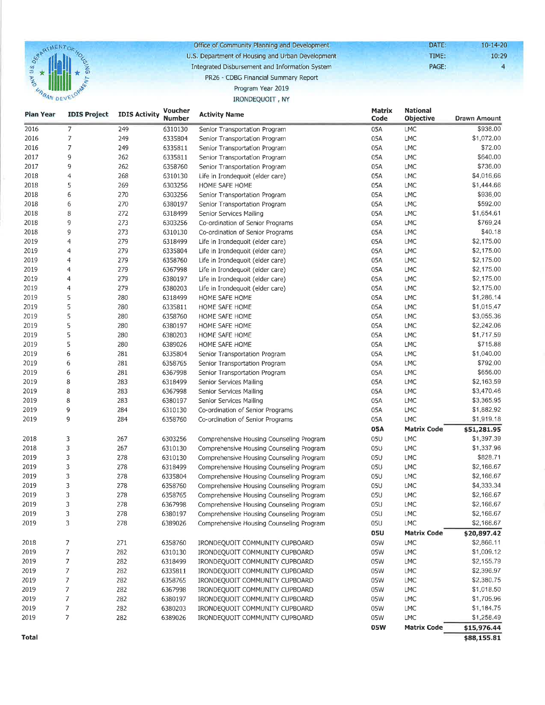

Office of Community Planning and Development U.S. Department of Housing and Urban Development Integrated Disbursement and Information System

DATE:  $10 - 14 - 20$ TIME:  $10:29$ PAGE:

 $\overline{4}$ 

### PR26 - CDBG Financial Summary Report

#### Program Year 2019 IRONDEQUOIT, NY

| Plan Year | <b>IDIS Project</b>      | <b>IDIS Activity</b> | <b>Voucher</b> | <b>Activity Name</b>                     | <b>Matrix</b> | <b>National</b>    |                           |
|-----------|--------------------------|----------------------|----------------|------------------------------------------|---------------|--------------------|---------------------------|
|           |                          |                      | <b>Number</b>  |                                          | Code          | Objective          | Drawn Amount              |
| 2016      | 7                        | 249                  | 6310130        | Senior Transportation Program            | 05A           | LMC                | \$936.00                  |
| 2016      | 7                        | 249                  | 6335804        | Senior Transportation Program            | 05A           | LMC                | \$1,072.00                |
| 2016      | 7                        | 249                  | 6335811        | Senior Transportation Program            | 05A           | LMC                | \$72.00                   |
| 2017      | 9                        | 262                  | 6335811        | Senior Transportation Program            | 05A           | LMC                | \$640.00                  |
| 2017      | 9                        | 262                  | 6358760        | Senior Transportation Program            | 05A           | LMC                | \$736.00                  |
| 2018      | $\overline{\mathcal{L}}$ | 268                  | 6310130        | Life in Irondequoit (elder care)         | 05A           | LMC                | \$4,016.66                |
| 2018      | 5                        | 269                  | 6303256        | HOME SAFE HOME                           | 05A           | LMC                | \$1,444.66                |
| 2018      | 6                        | 270                  | 6303256        | Senior Transportation Program            | 05A           | LMC                | \$936.00                  |
| 2018      | 6                        | 270                  | 6380197        | Senior Transportation Program            | 05A           | <b>LMC</b>         | \$592.00                  |
| 2018      | 8                        | 272                  | 6318499        | Senior Services Mailing                  | 05A           | LMC                | \$1,654.61                |
| 2018      | 9                        | 273                  | 6303256        | Co-ordination of Senior Programs         | 05A           | LMC                | \$769,24                  |
| 2018      | 9                        | 273                  | 6310130        | Co-ordination of Senior Programs         | 05A           | LMC                | \$40.18                   |
| 2019      | 4                        | 279                  | 6318499        | Life in Irondequoit (elder care)         | 05A           | LMC                | \$2,175.00                |
| 2019      | 4                        | 279                  | 6335804        | Life in Irondequoit (elder care)         | 05A           | LMC                | \$2,175.00                |
| 2019      | 4                        | 279                  | 6358760        | Life in Irondequoit (elder care)         | 05A           | LMC                | \$2,175.00                |
| 2019      | 4                        | 279                  | 6367998        | Life in Irondequoit (elder care)         | 05A           | LMC                | \$2,175.00                |
| 2019      | 4                        | 279                  | 6380197        | Life in Irondequoit (elder care)         | 05A           | LMC                | \$2,175.00                |
| 2019      | 4                        | 279                  | 6380203        | Life in Irondequoit (elder care)         | 05A           | LMC                | \$2,175.00                |
| 2019      | 5                        | 280                  | 6318499        | HOME SAFE HOME                           | 05A           | LMC                | \$1,286.14                |
| 2019      | 5                        | 280                  | 6335811        | HOME SAFE HOME                           | 05A           | LMC                | \$1,015.47                |
| 2019      | 5                        | 280                  | 6358760        | HOME SAFE HOME                           | 05A           | LMC                | \$3,055.36                |
| 2019      | 5                        | 280                  | 6380197        | HOME SAFE HOME                           | 05A           | LMC                | \$2,242.06                |
| 2019      | 5                        | 280                  | 6380203        | HOME SAFE HOME                           | 05A           | LMC                | \$1,717.59                |
| 2019      | 5                        | 280                  | 6389026        | HOME SAFE HOME                           | 05A           | LMC                | \$715.88                  |
| 2019      | 6                        | 281                  | 6335804        | Senior Transportation Program            | 05A           | <b>LMC</b>         | \$1,040.00                |
| 2019      | 6                        | 281                  | 6358765        | Senior Transportation Program            | 05A           | LMC                | \$792.00                  |
| 2019      | 6                        | 281                  | 6367998        | Senior Transportation Program            | 05A           | LMC                | \$656.00                  |
| 2019      | 8                        | 283                  | 6318499        | Senior Services Mailing                  | 05A           | LMC                | \$2,163.59                |
| 2019      | 8                        | 283                  | 6367998        | Senior Services Mailing                  | 05A           | LMC                | \$3,470.46                |
| 2019      | 8                        | 283                  | 6380197        | Senior Services Mailing                  | 05A           | LMC                | \$3,365.95                |
| 2019      | 9                        | 284                  | 6310130        | Co-ordination of Senior Programs         | 05A           | LMC                | \$1,882.92                |
| 2019      | 9                        | 284                  | 6358760        | Co-ordination of Senior Programs         | 05A           | LMC                | \$1,919.18                |
|           |                          |                      |                |                                          | 05A           | <b>Matrix Code</b> | \$51,281.95               |
| 2018      | 3                        | 267                  | 6303256        | Comprehensive Housing Counseling Program | 05U           | LMC                | \$1,397.39                |
| 2018      | 3                        | 267                  | 6310130        | Comprehensive Housing Counseling Program | 05U           | LMC                | \$1,337.96                |
| 2019      | 3                        | 278                  | 6310130        | Comprehensive Housing Counseling Program | 05U           | <b>LMC</b>         | \$828.71                  |
| 2019      | 3                        | 278                  | 6318499        | Comprehensive Housing Counseling Program | 05U           | LMC                | \$2,166.67                |
| 2019      | 3                        | 278                  | 6335804        | Comprehensive Housing Counseling Program | 05U           | <b>LMC</b>         | \$2,166.67                |
| 2019      | 3                        | 278                  | 6358760        | Comprehensive Housing Counseling Program | 05U           | LMC                | \$4,333.34                |
| 2019      | 3                        | 278                  | 6358765        | Comprehensive Housing Counseling Program | 05U           | LMC                | \$2,166.67                |
| 2019      | 3                        | 278                  | 6367998        | Comprehensive Housing Counseling Program | 05U           | LMC                | \$2,166.67                |
| 2019      | 3                        | 278                  | 6380197        | Comprehensive Housing Counseling Program | 05U           | LMC                | \$2,166.67                |
| 2019      | 3                        | 278                  | 6389026        | Comprehensive Housing Counseling Program | 05U           | LMC                | \$2,166.67                |
|           |                          |                      |                |                                          | <b>05U</b>    | <b>Matrix Code</b> |                           |
|           |                          |                      |                |                                          |               |                    | \$20,897.42<br>\$2,866.11 |
| 2018      | 7                        | 271                  | 6358760        | IRONDEQUOIT COMMUNITY CUPBOARD           | 05W           | LMC                |                           |
| 2019      | 7                        | 282                  | 6310130        | IRONDEQUOIT COMMUNITY CUPBOARD           | 05W           | LMC                | \$1,009.12                |
| 2019      | 7                        | 282                  | 6318499        | IRONDEQUOIT COMMUNITY CUPBOARD           | 05W           | LMC                | \$2,155.79                |
| 2019      | 7                        | 282                  | 6335811        | IRONDEQUOIT COMMUNITY CUPBOARD           | 05W           | LMC                | \$2,396.97                |
| 2019      | 7                        | 282                  | 6358765        | IRONDEQUOIT COMMUNITY CUPBOARD           | 05W           | LMC                | \$2,380.75                |
| 2019      | 7                        | 282                  | 6367998        | IRONDEQUOIT COMMUNITY CUPBOARD           | 05W           | LMC                | \$1,018.50                |
| 2019      | 7                        | 282                  | 6380197        | IRONDEQUOIT COMMUNITY CUPBOARD           | 05W           | LMC                | \$1,705.96                |
| 2019      | 7                        | 282                  | 6380203        | IRONDEQUOIT COMMUNITY CUPBOARD           | 05W           | LMC                | \$1,184.75                |
| 2019      | 7                        | 282                  | 6389026        | IRONDEQUOIT COMMUNITY CUPBOARD           | 05W           | <b>LMC</b>         | \$1,258.49                |
|           |                          |                      |                |                                          | <b>05W</b>    | <b>Matrix Code</b> | \$15,976.44               |
| Total     |                          |                      |                |                                          |               |                    | \$88,155.81               |